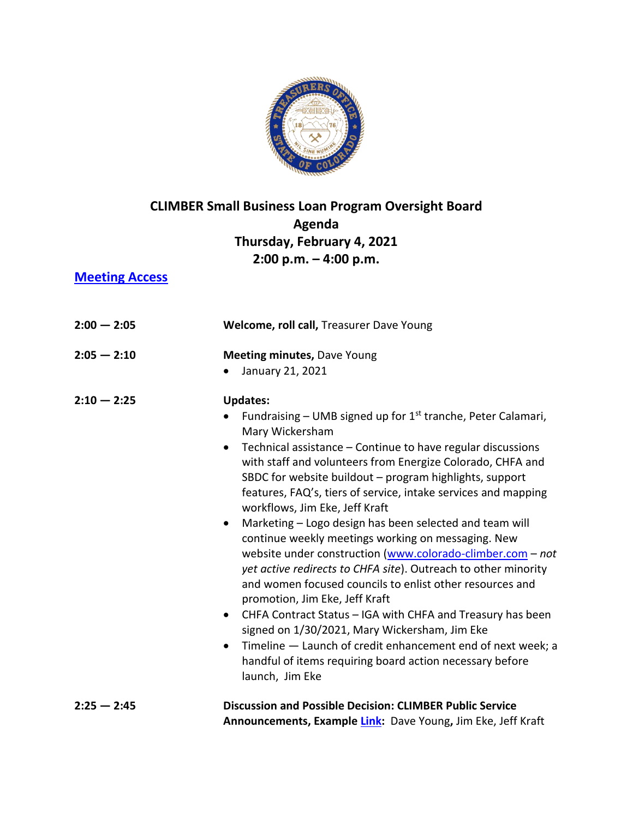

## **CLIMBER Small Business Loan Program Oversight Board Agenda Thursday, February 4, 2021 2:00 p.m. – 4:00 p.m.**

## **[Meeting Access](https://us02web.zoom.us/j/88572536162?pwd=djJJZFpXb0Fpb25qOW1md3ZmeW9tdz09)**

| $2:00 - 2:05$ | Welcome, roll call, Treasurer Dave Young                                                                                                                                                                                                                                                                                                                                                                                                                                                                                                                                                                                                                                                                                                                                                                                                                                                                                                                                                                                                                         |
|---------------|------------------------------------------------------------------------------------------------------------------------------------------------------------------------------------------------------------------------------------------------------------------------------------------------------------------------------------------------------------------------------------------------------------------------------------------------------------------------------------------------------------------------------------------------------------------------------------------------------------------------------------------------------------------------------------------------------------------------------------------------------------------------------------------------------------------------------------------------------------------------------------------------------------------------------------------------------------------------------------------------------------------------------------------------------------------|
| $2:05 - 2:10$ | <b>Meeting minutes, Dave Young</b><br>January 21, 2021                                                                                                                                                                                                                                                                                                                                                                                                                                                                                                                                                                                                                                                                                                                                                                                                                                                                                                                                                                                                           |
| $2:10 - 2:25$ | <b>Updates:</b><br>Fundraising – UMB signed up for $1st$ tranche, Peter Calamari,<br>Mary Wickersham<br>Technical assistance - Continue to have regular discussions<br>$\bullet$<br>with staff and volunteers from Energize Colorado, CHFA and<br>SBDC for website buildout - program highlights, support<br>features, FAQ's, tiers of service, intake services and mapping<br>workflows, Jim Eke, Jeff Kraft<br>Marketing - Logo design has been selected and team will<br>$\bullet$<br>continue weekly meetings working on messaging. New<br>website under construction (www.colorado-climber.com - not<br>yet active redirects to CHFA site). Outreach to other minority<br>and women focused councils to enlist other resources and<br>promotion, Jim Eke, Jeff Kraft<br>CHFA Contract Status - IGA with CHFA and Treasury has been<br>$\bullet$<br>signed on 1/30/2021, Mary Wickersham, Jim Eke<br>Timeline - Launch of credit enhancement end of next week; a<br>$\bullet$<br>handful of items requiring board action necessary before<br>launch, Jim Eke |
| $2:25 - 2:45$ | <b>Discussion and Possible Decision: CLIMBER Public Service</b><br>Announcements, Example Link: Dave Young, Jim Eke, Jeff Kraft                                                                                                                                                                                                                                                                                                                                                                                                                                                                                                                                                                                                                                                                                                                                                                                                                                                                                                                                  |